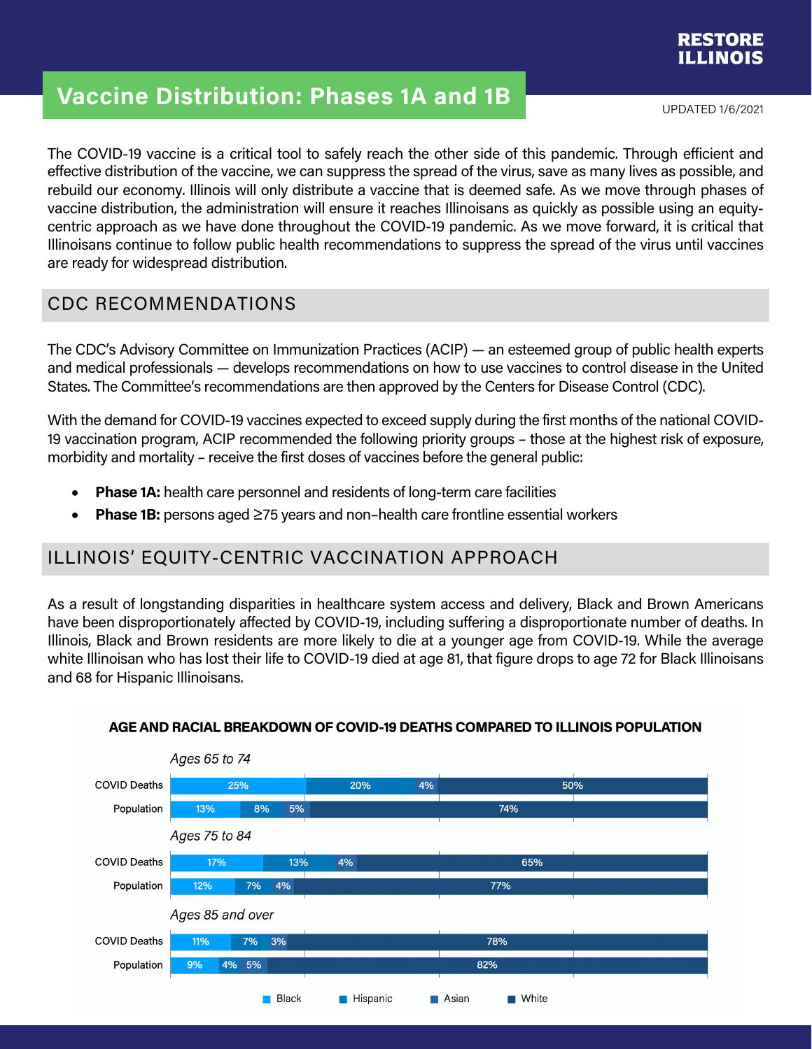

# **Vaccine Distribution: Phases 1A and 1B** tt

UPDATED 1/6/2021

The COVID-19 vaccine is a critical tool to safely reach the other side of this pandemic. Through efficient and effective distribution of the vaccine, we can suppress the spread of the virus, save as many lives as possible, and rebuild our economy. Illinois will only distribute a vaccine that is deemed safe. As we move through phases of vaccine distribution, the administration will ensure it reaches Illinoisans as quickly as possible using an equitycentric approach as we have done throughout the COVID-19 pandemic. As we move forward, it is critical that Illinoisans continue to follow public health recommendations to suppress the spread of the virus until vaccines are ready for widespread distribution.

# CDC RECOMMENDATIONS

The CDC's Advisory Committee on Immunization Practices (ACIP) — an esteemed group of public health experts and medical professionals — develops recommendations on how to use vaccines to control disease in the United States. The Committee's recommendations are then approved by the Centers for Disease Control (CDC).

With the demand for COVID-19 vaccines expected to exceed supply during the first months of the national COVID-19 vaccination program, ACIP recommended the following priority groups – those at the highest risk of exposure, morbidity and mortality – receive the first doses of vaccines before the general public:

- **Phase 1A:** health care personnel and residents of long-term care facilities
- **Phase 1B:** persons aged ≥75 years and non–health care frontline essential workers

# ILLINOIS' EQUITY-CENTRIC VACCINATION APPROACH

As a result of longstanding disparities in healthcare system access and delivery, Black and Brown Americans have been disproportionately affected by COVID-19, including suffering a disproportionate number of deaths. In Illinois, Black and Brown residents are more likely to die at a younger age from COVID-19. While the average white Illinoisan who has lost their life to COVID-19 died at age 81, that figure drops to age 72 for Black Illinoisans and 68 for Hispanic Illinoisans.



#### AGE AND RACIAL BREAKDOWN OF COVID-19 DEATHS COMPARED TO ILLINOIS POPULATION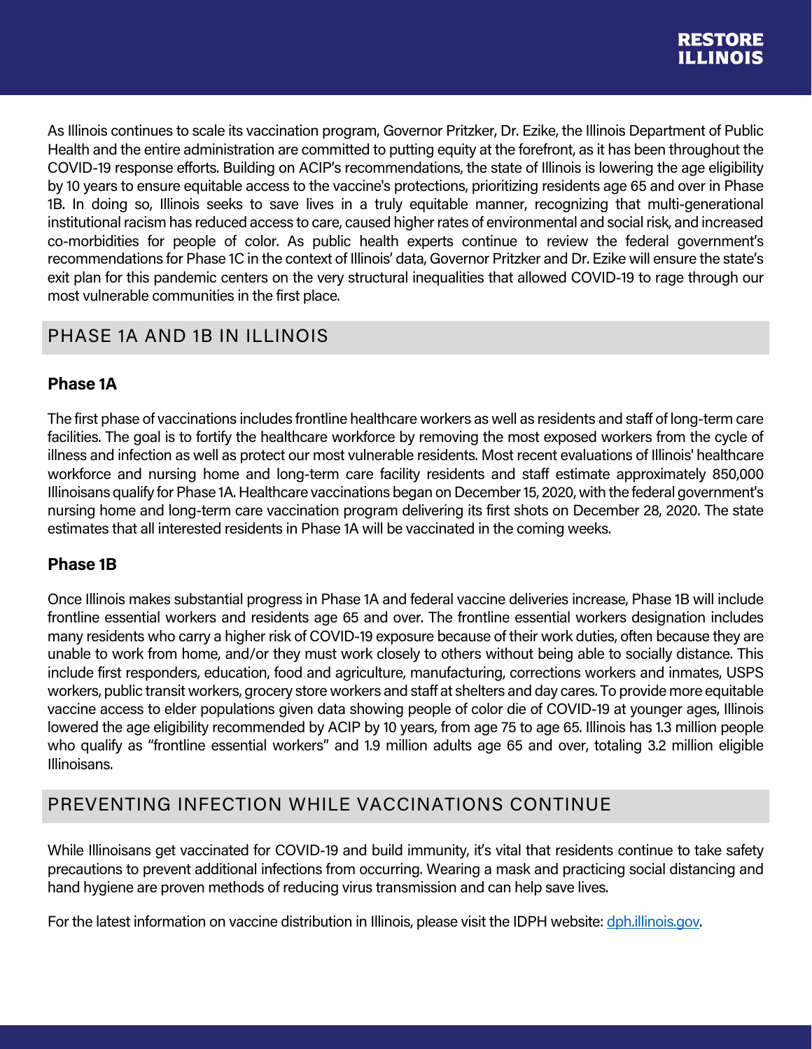

As Illinois continues to scale its vaccination program, Governor Pritzker, Dr. Ezike, the Illinois Department of Public Health and the entire administration are committed to putting equity at the forefront, as it has been throughout the COVID-19 response efforts. Building on ACIP's recommendations, the state of Illinois is lowering the age eligibility by 10 years to ensure equitable access to the vaccine's protections, prioritizing residents age 65 and over in Phase 1B. In doing so, Illinois seeks to save lives in a truly equitable manner, recognizing that multi-generational institutional racism has reduced access to care, caused higher rates of environmental and social risk, and increased co-morbidities for people of color. As public health experts continue to review the federal government's recommendations for Phase 1C in the context of Illinois' data, Governor Pritzker and Dr. Ezike will ensure the state's exit plan for this pandemic centers on the very structural inequalities that allowed COVID-19 to rage through our most vulnerable communities in the first place.

# PHASE 1A AND 1B IN ILLINOIS

#### **Phase 1A**

The first phase of vaccinations includes frontline healthcare workers as well as residents and staff of long-term care facilities. The goal is to fortify the healthcare workforce by removing the most exposed workers from the cycle of illness and infection as well as protect our most vulnerable residents. Most recent evaluations of Illinois' healthcare workforce and nursing home and long-term care facility residents and staff estimate approximately 850,000 Illinoisans qualify for Phase 1A. Healthcare vaccinations began on December 15, 2020, with the federal government's nursing home and long-term care vaccination program delivering its first shots on December 28, 2020. The state estimates that all interested residents in Phase 1A will be vaccinated in the coming weeks.

#### **Phase 1B**

Once Illinois makes substantial progress in Phase 1A and federal vaccine deliveries increase, Phase 1B will include frontline essential workers and residents age 65 and over. The frontline essential workers designation includes many residents who carry a higher risk of COVID-19 exposure because of their work duties, often because they are unable to work from home, and/or they must work closely to others without being able to socially distance. This include first responders, education, food and agriculture, manufacturing, corrections workers and inmates, USPS workers, public transit workers, grocery store workers and staff at shelters and day cares. To provide more equitable vaccine access to elder populations given data showing people of color die of COVID-19 at younger ages, Illinois lowered the age eligibility recommended by ACIP by 10 years, from age 75 to age 65. Illinois has 1.3 million people who qualify as "frontline essential workers" and 1.9 million adults age 65 and over, totaling 3.2 million eligible Illinoisans.

# PREVENTING INFECTION WHILE VACCINATIONS CONTINUE

While Illinoisans get vaccinated for COVID-19 and build immunity, it's vital that residents continue to take safety precautions to prevent additional infections from occurring. Wearing a mask and practicing social distancing and hand hygiene are proven methods of reducing virus transmission and can help save lives.

For the latest information on vaccine distribution in Illinois, please visit the IDPH website: dph.illinois.gov.